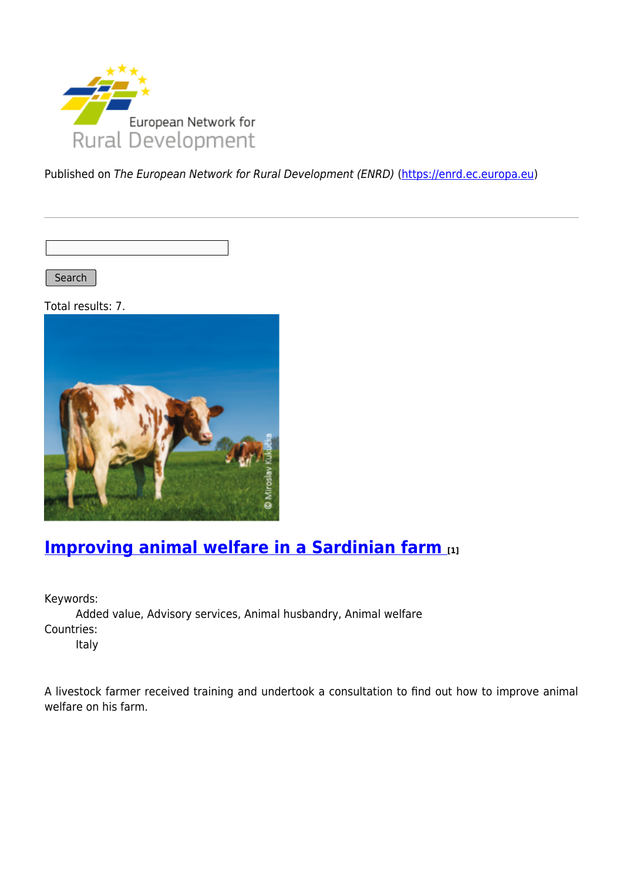

Published on The European Network for Rural Development (ENRD) [\(https://enrd.ec.europa.eu](https://enrd.ec.europa.eu))

Search |

Total results: 7.



## **[Improving animal welfare in a Sardinian farm](https://enrd.ec.europa.eu/projects-practice/improving-animal-welfare-sardinian-farm_en) [1]**

Keywords:

Added value, Advisory services, Animal husbandry, Animal welfare Countries: Italy

A livestock farmer received training and undertook a consultation to find out how to improve animal welfare on his farm.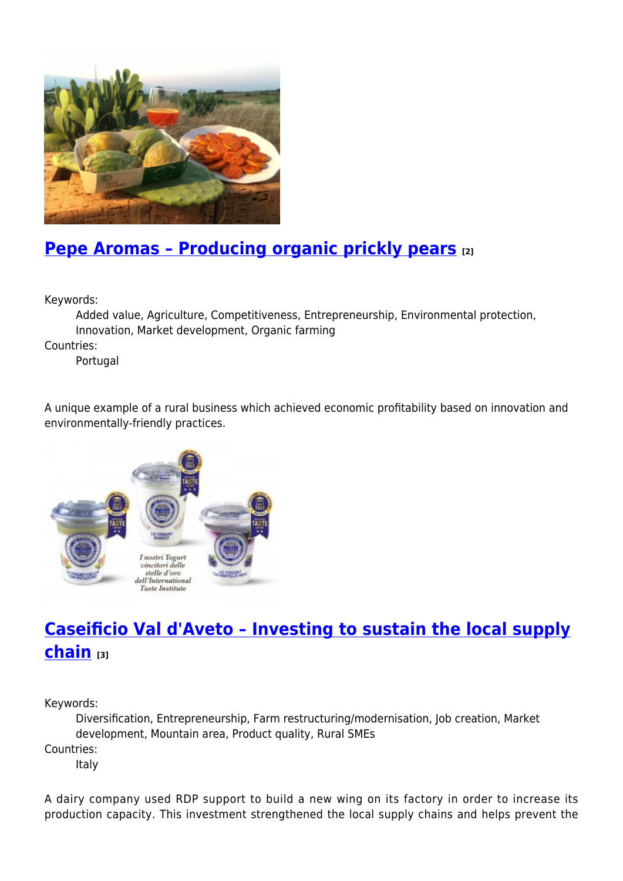

## **[Pepe Aromas – Producing organic prickly pears](https://enrd.ec.europa.eu/projects-practice/pepe-aromas-producing-organic-prickly-pears_en) [2]**

Keywords:

Added value, Agriculture, Competitiveness, Entrepreneurship, Environmental protection, Innovation, Market development, Organic farming

Countries:

Portugal

A unique example of a rural business which achieved economic profitability based on innovation and environmentally-friendly practices.



# **[Caseificio Val d'Aveto – Investing to sustain the local supply](https://enrd.ec.europa.eu/projects-practice/caseificio-val-daveto-investing-sustain-local-supply-chain_en) [chain](https://enrd.ec.europa.eu/projects-practice/caseificio-val-daveto-investing-sustain-local-supply-chain_en) [3]**

Keywords:

Diversification, Entrepreneurship, Farm restructuring/modernisation, Job creation, Market development, Mountain area, Product quality, Rural SMEs

Countries:

Italy

A dairy company used RDP support to build a new wing on its factory in order to increase its production capacity. This investment strengthened the local supply chains and helps prevent the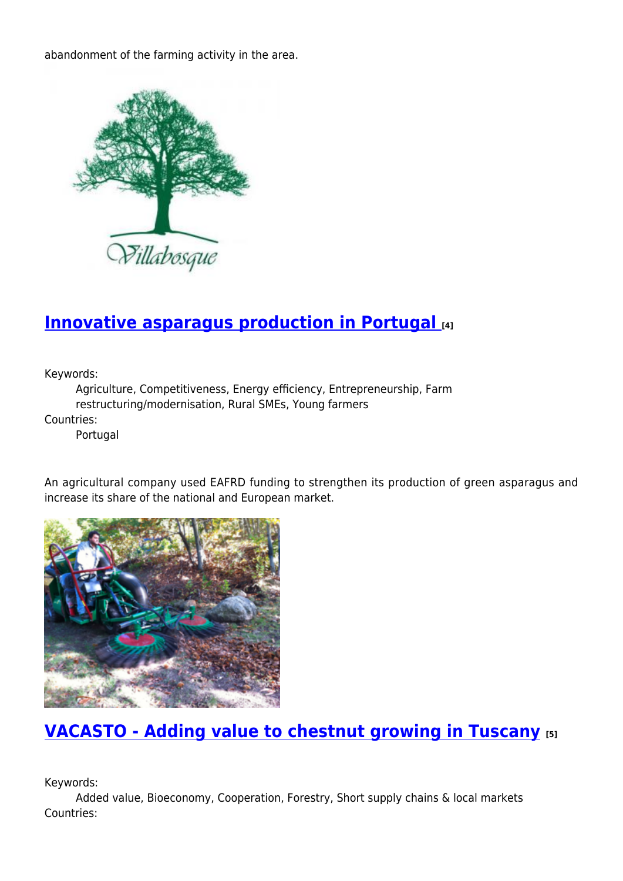abandonment of the farming activity in the area.



#### **[Innovative asparagus production in Portugal](https://enrd.ec.europa.eu/projects-practice/innovative-asparagus-production-portugal_en) [4]**

Keywords:

Agriculture, Competitiveness, Energy efficiency, Entrepreneurship, Farm restructuring/modernisation, Rural SMEs, Young farmers

Countries:

Portugal

An agricultural company used EAFRD funding to strengthen its production of green asparagus and increase its share of the national and European market.



### **[VACASTO - Adding value to chestnut growing in Tuscany](https://enrd.ec.europa.eu/projects-practice/vacasto-adding-value-chestnut-growing-tuscany_en) [5]**

Keywords:

Added value, Bioeconomy, Cooperation, Forestry, Short supply chains & local markets Countries: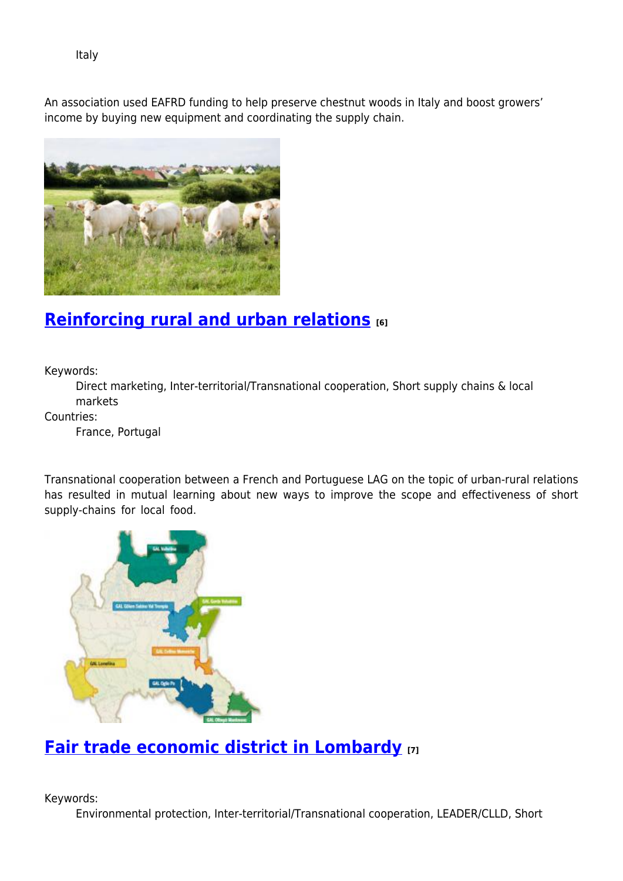Italy

An association used EAFRD funding to help preserve chestnut woods in Italy and boost growers' income by buying new equipment and coordinating the supply chain.



### **[Reinforcing rural and urban relations](https://enrd.ec.europa.eu/projects-practice/reinforcing-rural-and-urban-relations_en) [6]**

Keywords:

Direct marketing, Inter-territorial/Transnational cooperation, Short supply chains & local markets

Countries:

France, Portugal

Transnational cooperation between a French and Portuguese LAG on the topic of urban-rural relations has resulted in mutual learning about new ways to improve the scope and effectiveness of short supply-chains for local food.



### **[Fair trade economic district in Lombardy](https://enrd.ec.europa.eu/projects-practice/fair-trade-economic-district-lombardy_en) [7]**

Keywords:

Environmental protection, Inter-territorial/Transnational cooperation, LEADER/CLLD, Short